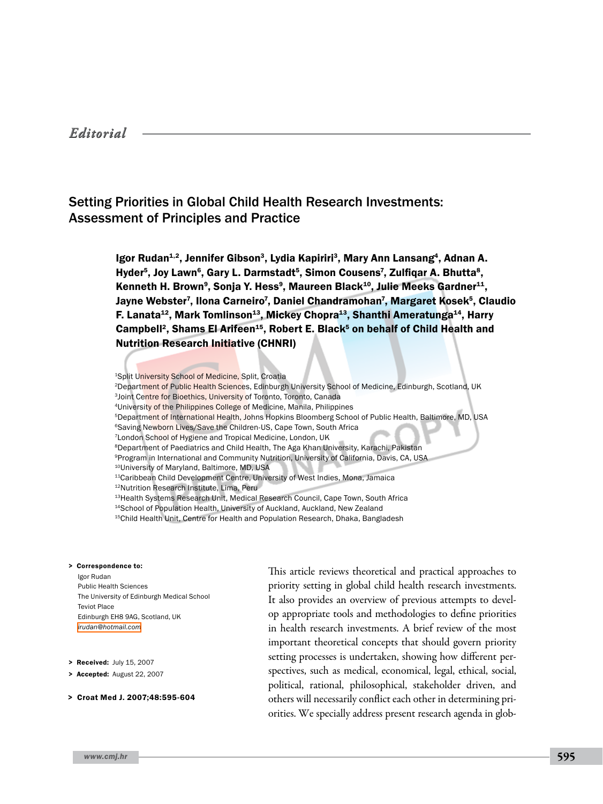# Setting Priorities in Global Child Health Research Investments: Assessment of Principles and Practice

Igor Rudan<sup>1,2</sup>, Jennifer Gibson<sup>3</sup>, Lydia Kapiriri<sup>3</sup>, Mary Ann Lansang<sup>4</sup>, Adnan A. Hyder<sup>5</sup>, Joy Lawn<sup>6</sup>, Gary L. Darmstadt<sup>5</sup>, Simon Cousens<sup>7</sup>, Zulfiqar A. Bhutta<sup>8</sup>, Kenneth H. Brown<sup>9</sup>, Sonja Y. Hess<sup>9</sup>, Maureen Black<sup>10</sup>, Julie Meeks Gardner<sup>11</sup>, Jayne Webster<sup>7</sup>, Ilona Carneiro<sup>7</sup>, Daniel Chandramohan<sup>7</sup>, Margaret Kosek<sup>5</sup>, Claudio F. Lanata<sup>12</sup>, Mark Tomlinson<sup>13</sup>, Mickey Chopra<sup>13</sup>, Shanthi Ameratunga<sup>14</sup>, Harry Campbell<sup>2</sup>, Shams El Arifeen<sup>15</sup>, Robert E. Black<sup>5</sup> on behalf of Child Health and Nutrition Research Initiative (CHNRI)

1Split University School of Medicine, Split, Croatia

- 2Department of Public Health Sciences, Edinburgh University School of Medicine, Edinburgh, Scotland, UK 3Joint Centre for Bioethics, University of Toronto, Toronto, Canada
- 4University of the Philippines College of Medicine, Manila, Philippines
- 5Department of International Health, Johns Hopkins Bloomberg School of Public Health, Baltimore, MD, USA
- <sup>6</sup>Saving Newborn Lives/Save the Children-US, Cape Town, South Africa
- 7London School of Hygiene and Tropical Medicine, London, UK
- 8Department of Paediatrics and Child Health, The Aga Khan University, Karachi, Pakistan
- 9Program in International and Community Nutrition, University of California, Davis, CA, USA
- 10University of Maryland, Baltimore, MD, USA
- <sup>11</sup>Caribbean Child Development Centre, University of West Indies, Mona, Jamaica
- 12Nutrition Research Institute, Lima, Peru
- 13Health Systems Research Unit, Medical Research Council, Cape Town, South Africa
- 14School of Population Health, University of Auckland, Auckland, New Zealand
- <sup>15</sup>Child Health Unit, Centre for Health and Population Research, Dhaka, Bangladesh

#### > Correspondence to:

Igor Rudan Public Health Sciences The University of Edinburgh Medical School Teviot Place Edinburgh EH8 9AG, Scotland, UK *[irudan@hotmail.com](mailto: irudan@hotmail.com )*

- > Received: July 15, 2007
- > Accepted: August 22, 2007
- > Croat Med J. 2007;48:595-604

This article reviews theoretical and practical approaches to priority setting in global child health research investments. It also provides an overview of previous attempts to develop appropriate tools and methodologies to define priorities in health research investments. A brief review of the most important theoretical concepts that should govern priority setting processes is undertaken, showing how different perspectives, such as medical, economical, legal, ethical, social, political, rational, philosophical, stakeholder driven, and others will necessarily conflict each other in determining priorities. We specially address present research agenda in glob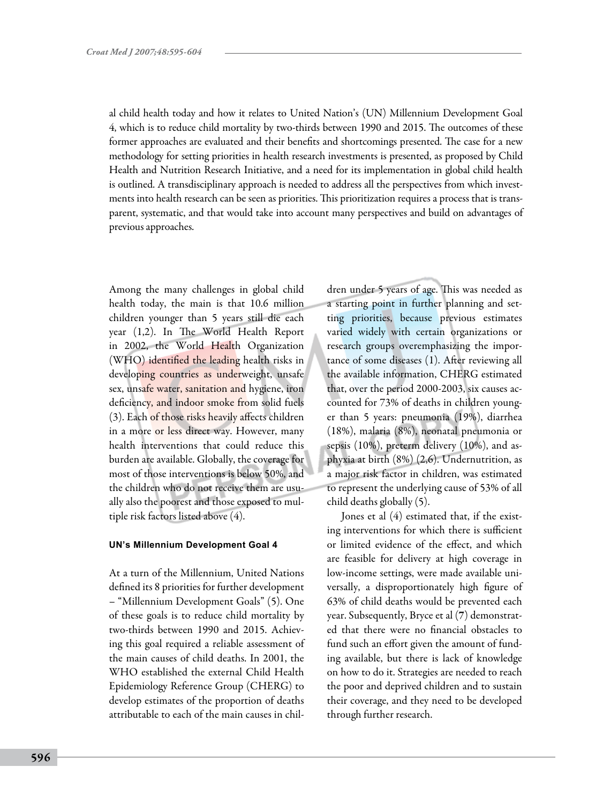al child health today and how it relates to United Nation's (UN) Millennium Development Goal 4, which is to reduce child mortality by two-thirds between 1990 and 2015. The outcomes of these former approaches are evaluated and their benefits and shortcomings presented. The case for a new methodology for setting priorities in health research investments is presented, as proposed by Child Health and Nutrition Research Initiative, and a need for its implementation in global child health is outlined. A transdisciplinary approach is needed to address all the perspectives from which investments into health research can be seen as priorities. This prioritization requires a process that is transparent, systematic, and that would take into account many perspectives and build on advantages of previous approaches.

Among the many challenges in global child health today, the main is that 10.6 million children younger than 5 years still die each year (1,2). In The World Health Report in 2002, the World Health Organization (WHO) identified the leading health risks in developing countries as underweight, unsafe sex, unsafe water, sanitation and hygiene, iron deficiency, and indoor smoke from solid fuels (3). Each of those risks heavily affects children in a more or less direct way. However, many health interventions that could reduce this burden are available. Globally, the coverage for most of those interventions is below 50%, and the children who do not receive them are usually also the poorest and those exposed to multiple risk factors listed above (4).

#### **UN's Millennium Development Goal 4**

At a turn of the Millennium, United Nations defined its 8 priorities for further development – "Millennium Development Goals" (5). One of these goals is to reduce child mortality by two-thirds between 1990 and 2015. Achieving this goal required a reliable assessment of the main causes of child deaths. In 2001, the WHO established the external Child Health Epidemiology Reference Group (CHERG) to develop estimates of the proportion of deaths attributable to each of the main causes in children under 5 years of age. This was needed as a starting point in further planning and setting priorities, because previous estimates varied widely with certain organizations or research groups overemphasizing the importance of some diseases (1). After reviewing all the available information, CHERG estimated that, over the period 2000-2003, six causes accounted for 73% of deaths in children younger than 5 years: pneumonia (19%), diarrhea (18%), malaria (8%), neonatal pneumonia or sepsis (10%), preterm delivery (10%), and asphyxia at birth (8%) (2,6). Undernutrition, as a major risk factor in children, was estimated to represent the underlying cause of 53% of all child deaths globally (5).

Jones et al (4) estimated that, if the existing interventions for which there is sufficient or limited evidence of the effect, and which are feasible for delivery at high coverage in low-income settings, were made available universally, a disproportionately high figure of 63% of child deaths would be prevented each year. Subsequently, Bryce et al (7) demonstrated that there were no financial obstacles to fund such an effort given the amount of funding available, but there is lack of knowledge on how to do it. Strategies are needed to reach the poor and deprived children and to sustain their coverage, and they need to be developed through further research.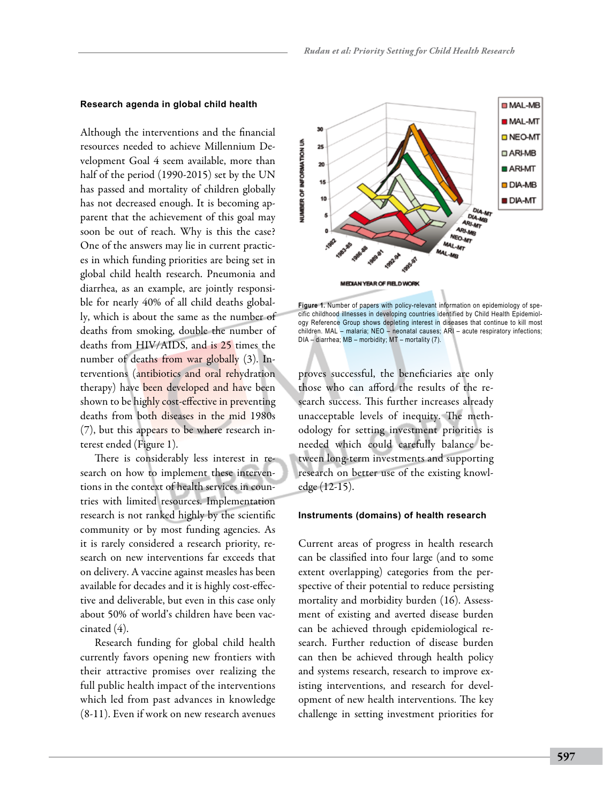#### **Research agenda in global child health**

Although the interventions and the financial resources needed to achieve Millennium Development Goal 4 seem available, more than half of the period (1990-2015) set by the UN has passed and mortality of children globally has not decreased enough. It is becoming apparent that the achievement of this goal may soon be out of reach. Why is this the case? One of the answers may lie in current practices in which funding priorities are being set in global child health research. Pneumonia and diarrhea, as an example, are jointly responsible for nearly 40% of all child deaths globally, which is about the same as the number of deaths from smoking, double the number of deaths from HIV/AIDS, and is 25 times the number of deaths from war globally (3). Interventions (antibiotics and oral rehydration therapy) have been developed and have been shown to be highly cost-effective in preventing deaths from both diseases in the mid 1980s (7), but this appears to be where research interest ended (Figure 1).

There is considerably less interest in research on how to implement these interventions in the context of health services in countries with limited resources. Implementation research is not ranked highly by the scientific community or by most funding agencies. As it is rarely considered a research priority, research on new interventions far exceeds that on delivery. A vaccine against measles has been available for decades and it is highly cost-effective and deliverable, but even in this case only about 50% of world's children have been vaccinated (4).

Research funding for global child health currently favors opening new frontiers with their attractive promises over realizing the full public health impact of the interventions which led from past advances in knowledge (8-11). Even if work on new research avenues



**Figure 1.** Number of papers with policy-relevant information on epidemiology of specific childhood illnesses in developing countries identified by Child Health Epidemiology Reference Group shows depleting interest in diseases that continue to kill most children. MAL – malaria; NEO – neonatal causes; ARI – acute respiratory infections; DIA – diarrhea; MB – morbidity; MT – mortality (7).

proves successful, the beneficiaries are only those who can afford the results of the research success. This further increases already unacceptable levels of inequity. The methodology for setting investment priorities is needed which could carefully balance between long-term investments and supporting research on better use of the existing knowledge (12-15).

#### **Instruments (domains) of health research**

Current areas of progress in health research can be classified into four large (and to some extent overlapping) categories from the perspective of their potential to reduce persisting mortality and morbidity burden (16). Assessment of existing and averted disease burden can be achieved through epidemiological research. Further reduction of disease burden can then be achieved through health policy and systems research, research to improve existing interventions, and research for development of new health interventions. The key challenge in setting investment priorities for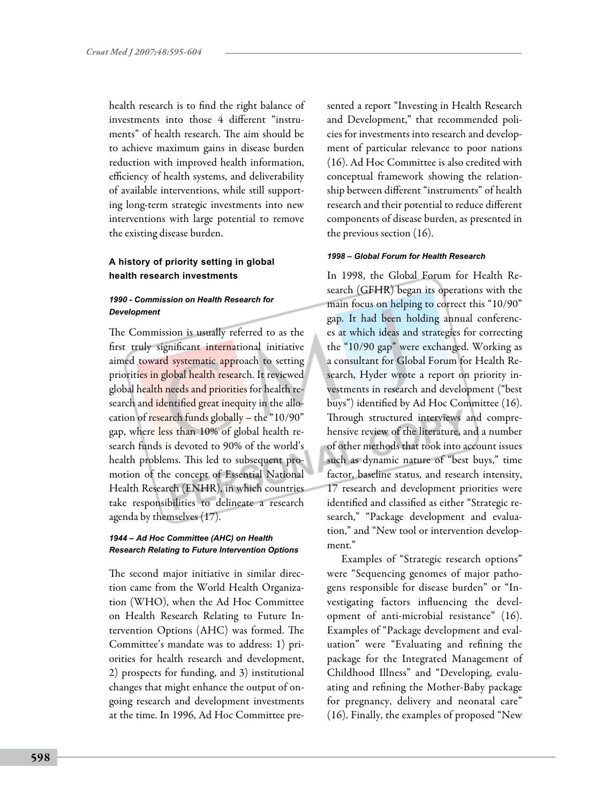health research is to find the right balance of investments into those 4 different "instruments" of health research. The aim should be to achieve maximum gains in disease burden reduction with improved health information, efficiency of health systems, and deliverability of available interventions, while still supporting long-term strategic investments into new interventions with large potential to remove the existing disease burden.

## **A history of priority setting in global health research investments**

## *1990 - Commission on Health Research for Development*

The Commission is usually referred to as the first truly significant international initiative aimed toward systematic approach to setting priorities in global health research. It reviewed global health needs and priorities for health research and identified great inequity in the allocation of research funds globally – the "10/90" gap, where less than 10% of global health research funds is devoted to 90% of the world's health problems. This led to subsequent promotion of the concept of Essential National Health Research (ENHR), in which countries take responsibilities to delineate a research agenda by themselves (17).

#### *1944 – Ad Hoc Committee (AHC) on Health Research Relating to Future Intervention Options*

The second major initiative in similar direction came from the World Health Organization (WHO), when the Ad Hoc Committee on Health Research Relating to Future Intervention Options (AHC) was formed. The Committee's mandate was to address: 1) priorities for health research and development, 2) prospects for funding, and 3) institutional changes that might enhance the output of ongoing research and development investments at the time. In 1996, Ad Hoc Committee presented a report "Investing in Health Research and Development," that recommended policies for investments into research and development of particular relevance to poor nations (16). Ad Hoc Committee is also credited with conceptual framework showing the relationship between different "instruments" of health research and their potential to reduce different components of disease burden, as presented in the previous section (16).

#### *1998 – Global Forum for Health Research*

In 1998, the Global Forum for Health Research (GFHR) began its operations with the main focus on helping to correct this "10/90" gap. It had been holding annual conferences at which ideas and strategies for correcting the "10/90 gap" were exchanged. Working as a consultant for Global Forum for Health Research, Hyder wrote a report on priority investments in research and development ("best buys") identified by Ad Hoc Committee (16). Through structured interviews and comprehensive review of the literature, and a number of other methods that took into account issues such as dynamic nature of "best buys," time factor, baseline status, and research intensity, 17 research and development priorities were identified and classified as either "Strategic research," "Package development and evaluation," and "New tool or intervention development."

Examples of "Strategic research options" were "Sequencing genomes of major pathogens responsible for disease burden" or "Investigating factors influencing the development of anti-microbial resistance" (16). Examples of "Package development and evaluation" were "Evaluating and refining the package for the Integrated Management of Childhood Illness" and "Developing, evaluating and refining the Mother-Baby package for pregnancy, delivery and neonatal care" (16). Finally, the examples of proposed "New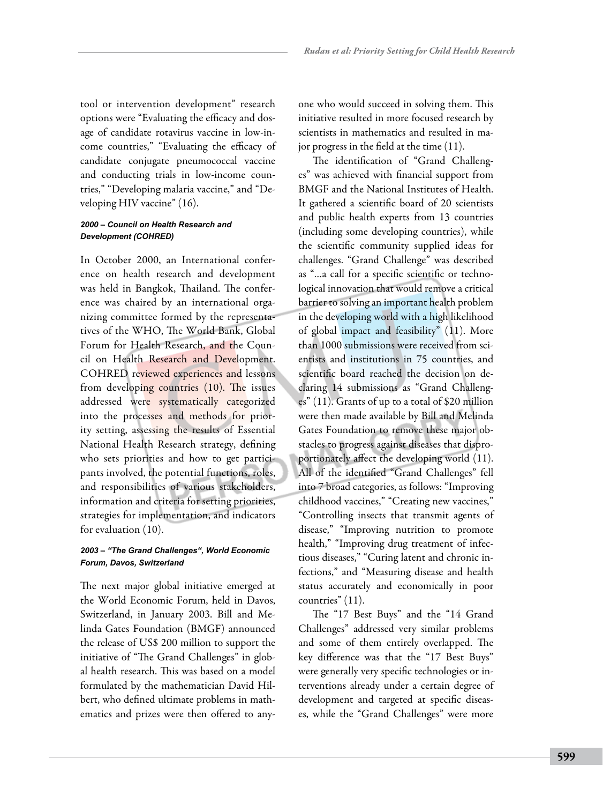tool or intervention development" research options were "Evaluating the efficacy and dosage of candidate rotavirus vaccine in low-income countries," "Evaluating the efficacy of candidate conjugate pneumococcal vaccine and conducting trials in low-income countries," "Developing malaria vaccine," and "Developing HIV vaccine" (16).

## *2000 – Council on Health Research and Development (COHRED)*

In October 2000, an International conference on health research and development was held in Bangkok, Thailand. The conference was chaired by an international organizing committee formed by the representatives of the WHO, The World Bank, Global Forum for Health Research, and the Council on Health Research and Development. COHRED reviewed experiences and lessons from developing countries (10). The issues addressed were systematically categorized into the processes and methods for priority setting, assessing the results of Essential National Health Research strategy, defining who sets priorities and how to get participants involved, the potential functions, roles, and responsibilities of various stakeholders, information and criteria for setting priorities, strategies for implementation, and indicators for evaluation (10).

### *2003 – "The Grand Challenges", World Economic Forum, Davos, Switzerland*

The next major global initiative emerged at the World Economic Forum, held in Davos, Switzerland, in January 2003. Bill and Melinda Gates Foundation (BMGF) announced the release of US\$ 200 million to support the initiative of "The Grand Challenges" in global health research. This was based on a model formulated by the mathematician David Hilbert, who defined ultimate problems in mathematics and prizes were then offered to anyone who would succeed in solving them. This initiative resulted in more focused research by scientists in mathematics and resulted in major progress in the field at the time (11).

The identification of "Grand Challenges" was achieved with financial support from BMGF and the National Institutes of Health. It gathered a scientific board of 20 scientists and public health experts from 13 countries (including some developing countries), while the scientific community supplied ideas for challenges. "Grand Challenge" was described as "…a call for a specific scientific or technological innovation that would remove a critical barrier to solving an important health problem in the developing world with a high likelihood of global impact and feasibility" (11). More than 1000 submissions were received from scientists and institutions in 75 countries, and scientific board reached the decision on declaring 14 submissions as "Grand Challenges" (11). Grants of up to a total of \$20 million were then made available by Bill and Melinda Gates Foundation to remove these major obstacles to progress against diseases that disproportionately affect the developing world (11). All of the identified "Grand Challenges" fell into 7 broad categories, as follows: "Improving childhood vaccines," "Creating new vaccines," "Controlling insects that transmit agents of disease," "Improving nutrition to promote health," "Improving drug treatment of infectious diseases," "Curing latent and chronic infections," and "Measuring disease and health status accurately and economically in poor countries" (11).

The "17 Best Buys" and the "14 Grand Challenges" addressed very similar problems and some of them entirely overlapped. The key difference was that the "17 Best Buys" were generally very specific technologies or interventions already under a certain degree of development and targeted at specific diseases, while the "Grand Challenges" were more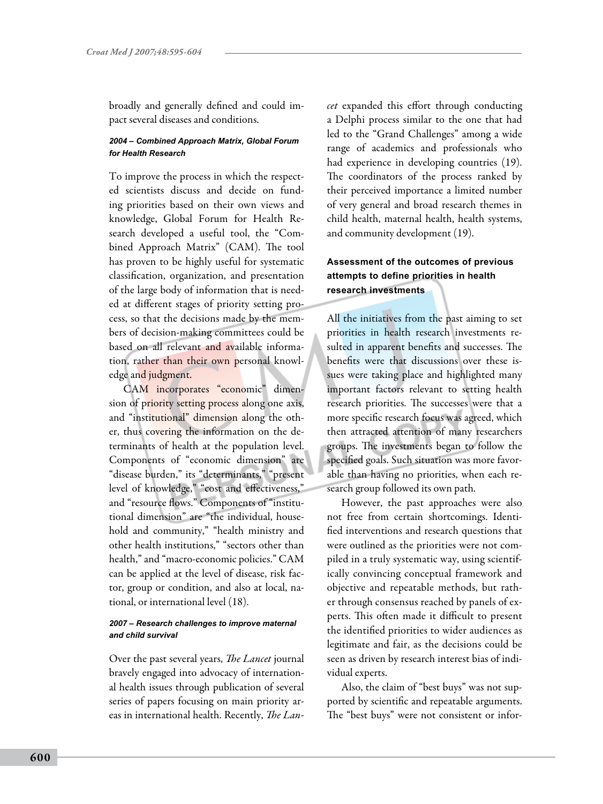broadly and generally defined and could impact several diseases and conditions.

#### *2004 – Combined Approach Matrix, Global Forum for Health Research*

To improve the process in which the respected scientists discuss and decide on funding priorities based on their own views and knowledge, Global Forum for Health Research developed a useful tool, the "Combined Approach Matrix" (CAM). The tool has proven to be highly useful for systematic classification, organization, and presentation of the large body of information that is needed at different stages of priority setting process, so that the decisions made by the members of decision-making committees could be based on all relevant and available information, rather than their own personal knowledge and judgment.

CAM incorporates "economic" dimension of priority setting process along one axis, and "institutional" dimension along the other, thus covering the information on the determinants of health at the population level. Components of "economic dimension" are "disease burden," its "determinants," "present level of knowledge," "cost and effectiveness," and "resource flows." Components of "institutional dimension" are "the individual, household and community," "health ministry and other health institutions," "sectors other than health," and "macro-economic policies." CAM can be applied at the level of disease, risk factor, group or condition, and also at local, national, or international level (18).

#### *2007 – Research challenges to improve maternal and child survival*

Over the past several years, *The Lancet* journal bravely engaged into advocacy of international health issues through publication of several series of papers focusing on main priority areas in international health. Recently, *The Lan-* *cet* expanded this effort through conducting a Delphi process similar to the one that had led to the "Grand Challenges" among a wide range of academics and professionals who had experience in developing countries (19). The coordinators of the process ranked by their perceived importance a limited number of very general and broad research themes in child health, maternal health, health systems, and community development (19).

## **Assessment of the outcomes of previous attempts to define priorities in health research investments**

All the initiatives from the past aiming to set priorities in health research investments resulted in apparent benefits and successes. The benefits were that discussions over these issues were taking place and highlighted many important factors relevant to setting health research priorities. The successes were that a more specific research focus was agreed, which then attracted attention of many researchers groups. The investments began to follow the specified goals. Such situation was more favorable than having no priorities, when each research group followed its own path.

However, the past approaches were also not free from certain shortcomings. Identified interventions and research questions that were outlined as the priorities were not compiled in a truly systematic way, using scientifically convincing conceptual framework and objective and repeatable methods, but rather through consensus reached by panels of experts. This often made it difficult to present the identified priorities to wider audiences as legitimate and fair, as the decisions could be seen as driven by research interest bias of individual experts.

Also, the claim of "best buys" was not supported by scientific and repeatable arguments. The "best buys" were not consistent or infor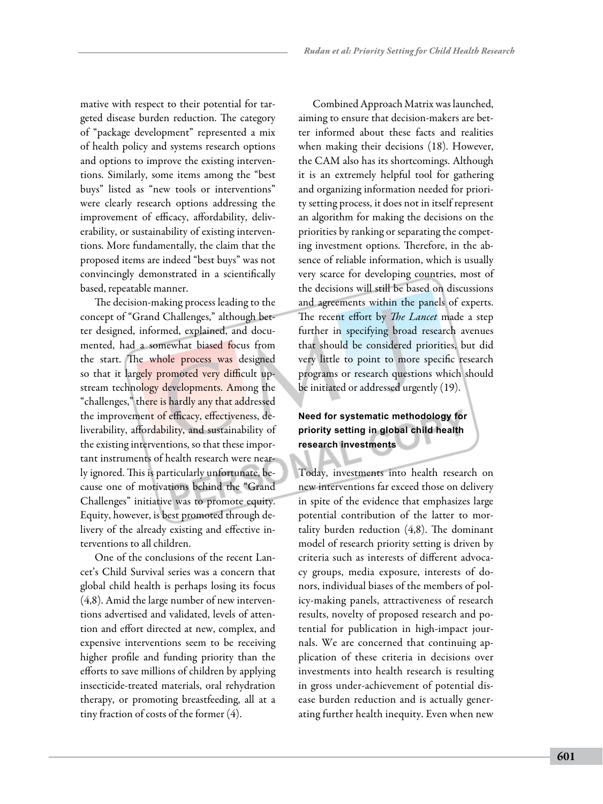mative with respect to their potential for targeted disease burden reduction. The category of "package development" represented a mix of health policy and systems research options and options to improve the existing interventions. Similarly, some items among the "best buys" listed as "new tools or interventions" were clearly research options addressing the improvement of efficacy, affordability, deliverability, or sustainability of existing interventions. More fundamentally, the claim that the proposed items are indeed "best buys" was not convincingly demonstrated in a scientifically based, repeatable manner.

The decision-making process leading to the concept of "Grand Challenges," although better designed, informed, explained, and documented, had a somewhat biased focus from the start. The whole process was designed so that it largely promoted very difficult upstream technology developments. Among the "challenges," there is hardly any that addressed the improvement of efficacy, effectiveness, deliverability, affordability, and sustainability of the existing interventions, so that these important instruments of health research were nearly ignored. This is particularly unfortunate, because one of motivations behind the "Grand Challenges" initiative was to promote equity. Equity, however, is best promoted through delivery of the already existing and effective interventions to all children.

One of the conclusions of the recent Lancet's Child Survival series was a concern that global child health is perhaps losing its focus (4,8). Amid the large number of new interventions advertised and validated, levels of attention and effort directed at new, complex, and expensive interventions seem to be receiving higher profile and funding priority than the efforts to save millions of children by applying insecticide-treated materials, oral rehydration therapy, or promoting breastfeeding, all at a tiny fraction of costs of the former (4).

Combined Approach Matrix was launched, aiming to ensure that decision-makers are better informed about these facts and realities when making their decisions (18). However, the CAM also has its shortcomings. Although it is an extremely helpful tool for gathering and organizing information needed for priority setting process, it does not in itself represent an algorithm for making the decisions on the priorities by ranking or separating the competing investment options. Therefore, in the absence of reliable information, which is usually very scarce for developing countries, most of the decisions will still be based on discussions and agreements within the panels of experts. The recent effort by *The Lancet* made a step further in specifying broad research avenues that should be considered priorities, but did very little to point to more specific research programs or research questions which should be initiated or addressed urgently (19).

# **Need for systematic methodology for priority setting in global child health research investments**

Today, investments into health research on new interventions far exceed those on delivery in spite of the evidence that emphasizes large potential contribution of the latter to mortality burden reduction (4,8). The dominant model of research priority setting is driven by criteria such as interests of different advocacy groups, media exposure, interests of donors, individual biases of the members of policy-making panels, attractiveness of research results, novelty of proposed research and potential for publication in high-impact journals. We are concerned that continuing application of these criteria in decisions over investments into health research is resulting in gross under-achievement of potential disease burden reduction and is actually generating further health inequity. Even when new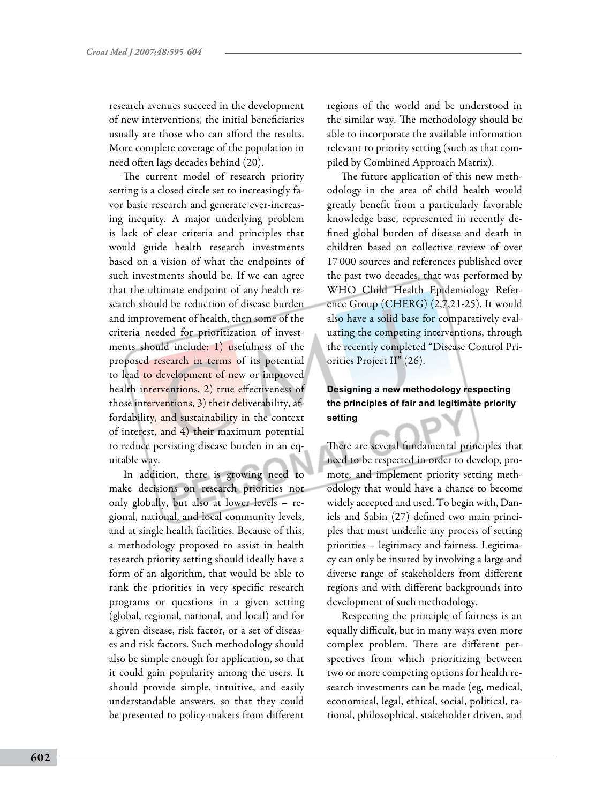research avenues succeed in the development of new interventions, the initial beneficiaries usually are those who can afford the results. More complete coverage of the population in need often lags decades behind (20).

The current model of research priority setting is a closed circle set to increasingly favor basic research and generate ever-increasing inequity. A major underlying problem is lack of clear criteria and principles that would guide health research investments based on a vision of what the endpoints of such investments should be. If we can agree that the ultimate endpoint of any health research should be reduction of disease burden and improvement of health, then some of the criteria needed for prioritization of investments should include: 1) usefulness of the proposed research in terms of its potential to lead to development of new or improved health interventions, 2) true effectiveness of those interventions, 3) their deliverability, affordability, and sustainability in the context of interest, and 4) their maximum potential to reduce persisting disease burden in an equitable way.

In addition, there is growing need to make decisions on research priorities not only globally, but also at lower levels – regional, national, and local community levels, and at single health facilities. Because of this, a methodology proposed to assist in health research priority setting should ideally have a form of an algorithm, that would be able to rank the priorities in very specific research programs or questions in a given setting (global, regional, national, and local) and for a given disease, risk factor, or a set of diseases and risk factors. Such methodology should also be simple enough for application, so that it could gain popularity among the users. It should provide simple, intuitive, and easily understandable answers, so that they could be presented to policy-makers from different

regions of the world and be understood in the similar way. The methodology should be able to incorporate the available information relevant to priority setting (such as that compiled by Combined Approach Matrix).

The future application of this new methodology in the area of child health would greatly benefit from a particularly favorable knowledge base, represented in recently defined global burden of disease and death in children based on collective review of over 17 000 sources and references published over the past two decades, that was performed by WHO Child Health Epidemiology Reference Group (CHERG) (2,7,21-25). It would also have a solid base for comparatively evaluating the competing interventions, through the recently completed "Disease Control Priorities Project II" (26).

## **Designing a new methodology respecting the principles of fair and legitimate priority setting**

There are several fundamental principles that need to be respected in order to develop, promote, and implement priority setting methodology that would have a chance to become widely accepted and used. To begin with, Daniels and Sabin (27) defined two main principles that must underlie any process of setting priorities – legitimacy and fairness. Legitimacy can only be insured by involving a large and diverse range of stakeholders from different regions and with different backgrounds into development of such methodology.

Respecting the principle of fairness is an equally difficult, but in many ways even more complex problem. There are different perspectives from which prioritizing between two or more competing options for health research investments can be made (eg, medical, economical, legal, ethical, social, political, rational, philosophical, stakeholder driven, and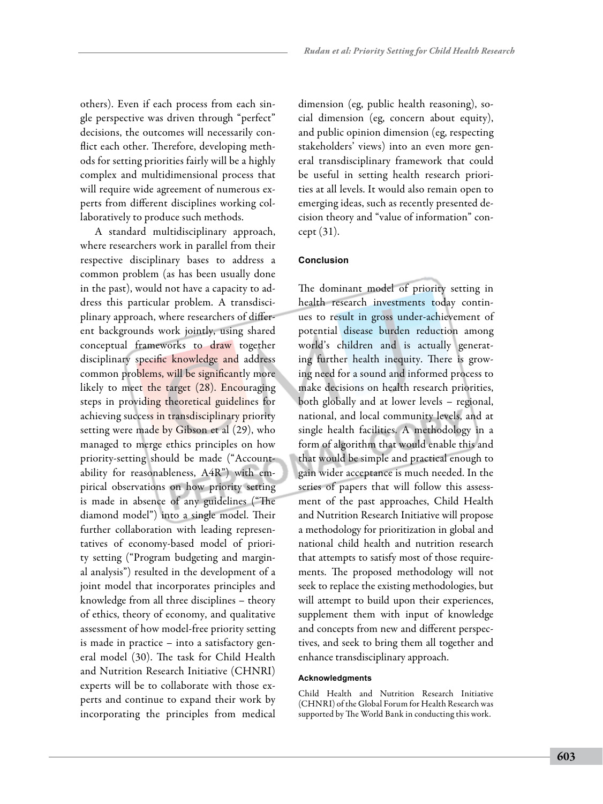others). Even if each process from each single perspective was driven through "perfect" decisions, the outcomes will necessarily conflict each other. Therefore, developing methods for setting priorities fairly will be a highly complex and multidimensional process that will require wide agreement of numerous experts from different disciplines working collaboratively to produce such methods.

A standard multidisciplinary approach, where researchers work in parallel from their respective disciplinary bases to address a common problem (as has been usually done in the past), would not have a capacity to address this particular problem. A transdisciplinary approach, where researchers of different backgrounds work jointly, using shared conceptual frameworks to draw together disciplinary specific knowledge and address common problems, will be significantly more likely to meet the target (28). Encouraging steps in providing theoretical guidelines for achieving success in transdisciplinary priority setting were made by Gibson et al (29), who managed to merge ethics principles on how priority-setting should be made ("Accountability for reasonableness, A4R") with empirical observations on how priority setting is made in absence of any guidelines ("The diamond model") into a single model. Their further collaboration with leading representatives of economy-based model of priority setting ("Program budgeting and marginal analysis") resulted in the development of a joint model that incorporates principles and knowledge from all three disciplines – theory of ethics, theory of economy, and qualitative assessment of how model-free priority setting is made in practice – into a satisfactory general model (30). The task for Child Health and Nutrition Research Initiative (CHNRI) experts will be to collaborate with those experts and continue to expand their work by incorporating the principles from medical dimension (eg, public health reasoning), social dimension (eg, concern about equity), and public opinion dimension (eg, respecting stakeholders' views) into an even more general transdisciplinary framework that could be useful in setting health research priorities at all levels. It would also remain open to emerging ideas, such as recently presented decision theory and "value of information" concept (31).

## **Conclusion**

The dominant model of priority setting in health research investments today continues to result in gross under-achievement of potential disease burden reduction among world's children and is actually generating further health inequity. There is growing need for a sound and informed process to make decisions on health research priorities, both globally and at lower levels – regional, national, and local community levels, and at single health facilities. A methodology in a form of algorithm that would enable this and that would be simple and practical enough to gain wider acceptance is much needed. In the series of papers that will follow this assessment of the past approaches, Child Health and Nutrition Research Initiative will propose a methodology for prioritization in global and national child health and nutrition research that attempts to satisfy most of those requirements. The proposed methodology will not seek to replace the existing methodologies, but will attempt to build upon their experiences, supplement them with input of knowledge and concepts from new and different perspectives, and seek to bring them all together and enhance transdisciplinary approach.

#### **Acknowledgments**

Child Health and Nutrition Research Initiative (CHNRI) of the Global Forum for Health Research was supported by The World Bank in conducting this work.